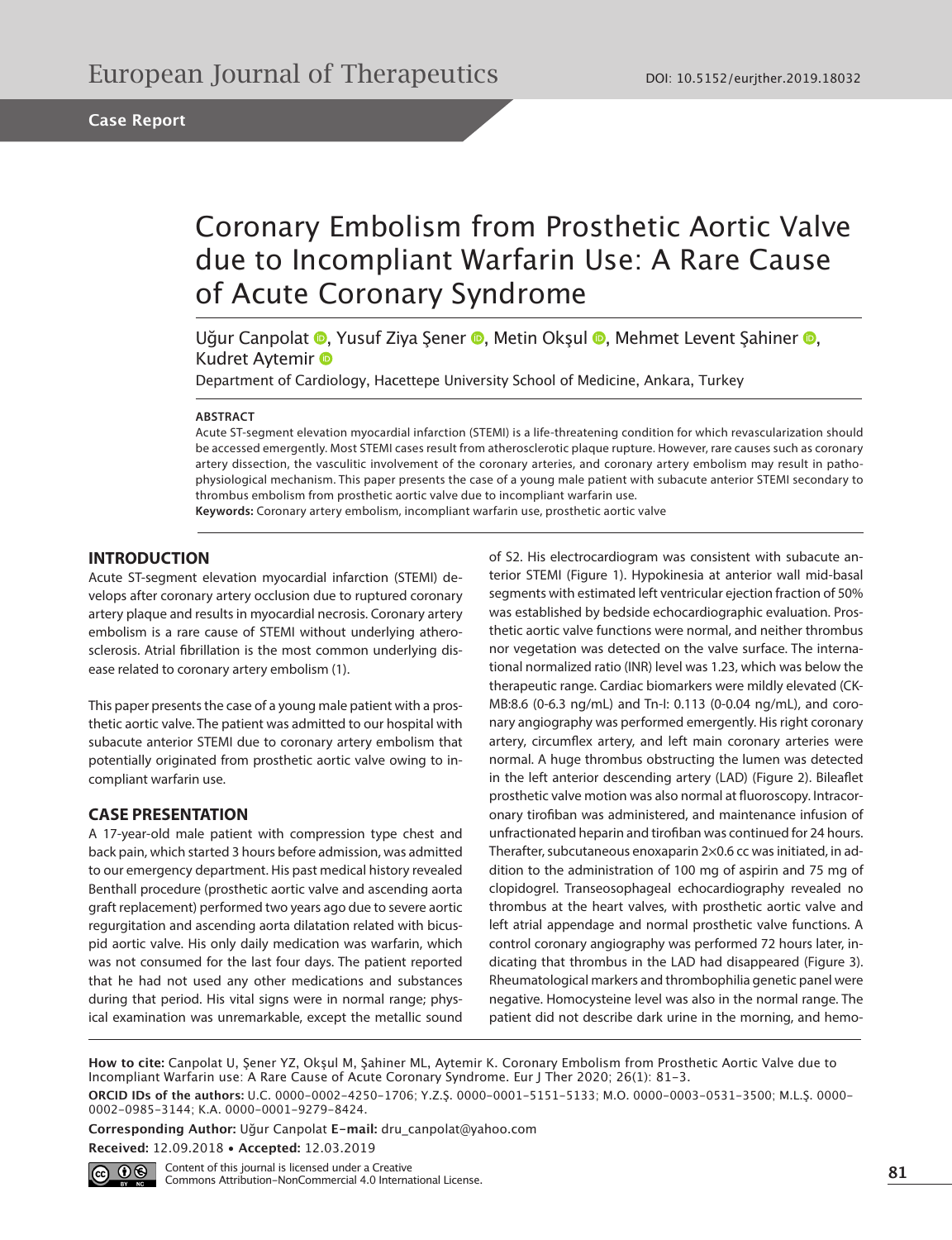# Coronary Embolism from Prosthetic Aortic Valve due to Incompliant Warfarin Use: A Rare Cause of Acute Coronary Syndrome

Uğur Canpolat <sup>®</sup>[,](https://orcid.org/0000-0002-0985-3144) Yusuf Ziya Şener ®, Metin Okşul ®, Mehmet Levent Şahiner ®, Kudret Aytemir

Department of Cardiology, Hacettepe University School of Medicine, Ankara, Turkey

#### **ABSTRACT**

Acute ST-segment elevation myocardial infarction (STEMI) is a life-threatening condition for which revascularization should be accessed emergently. Most STEMI cases result from atherosclerotic plaque rupture. However, rare causes such as coronary artery dissection, the vasculitic involvement of the coronary arteries, and coronary artery embolism may result in pathophysiological mechanism. This paper presents the case of a young male patient with subacute anterior STEMI secondary to thrombus embolism from prosthetic aortic valve due to incompliant warfarin use. **Keywords:** Coronary artery embolism, incompliant warfarin use, prosthetic aortic valve

### **INTRODUCTION**

Acute ST-segment elevation myocardial infarction (STEMI) develops after coronary artery occlusion due to ruptured coronary artery plaque and results in myocardial necrosis. Coronary artery embolism is a rare cause of STEMI without underlying atherosclerosis. Atrial fibrillation is the most common underlying disease related to coronary artery embolism (1).

This paper presents the case of a young male patient with a prosthetic aortic valve. The patient was admitted to our hospital with subacute anterior STEMI due to coronary artery embolism that potentially originated from prosthetic aortic valve owing to incompliant warfarin use.

#### **CASE PRESENTATION**

A 17-year-old male patient with compression type chest and back pain, which started 3 hours before admission, was admitted to our emergency department. His past medical history revealed Benthall procedure (prosthetic aortic valve and ascending aorta graft replacement) performed two years ago due to severe aortic regurgitation and ascending aorta dilatation related with bicuspid aortic valve. His only daily medication was warfarin, which was not consumed for the last four days. The patient reported that he had not used any other medications and substances during that period. His vital signs were in normal range; physical examination was unremarkable, except the metallic sound

of S2. His electrocardiogram was consistent with subacute anterior STEMI (Figure 1). Hypokinesia at anterior wall mid-basal segments with estimated left ventricular ejection fraction of 50% was established by bedside echocardiographic evaluation. Prosthetic aortic valve functions were normal, and neither thrombus nor vegetation was detected on the valve surface. The international normalized ratio (INR) level was 1.23, which was below the therapeutic range. Cardiac biomarkers were mildly elevated (CK-MB:8.6 (0-6.3 ng/mL) and Tn-I: 0.113 (0-0.04 ng/mL), and coronary angiography was performed emergently. His right coronary artery, circumflex artery, and left main coronary arteries were normal. A huge thrombus obstructing the lumen was detected in the left anterior descending artery (LAD) (Figure 2). Bileaflet prosthetic valve motion was also normal at fluoroscopy. Intracoronary tirofiban was administered, and maintenance infusion of unfractionated heparin and tirofiban was continued for 24 hours. Therafter, subcutaneous enoxaparin 2×0.6 cc was initiated, in addition to the administration of 100 mg of aspirin and 75 mg of clopidogrel. Transeosophageal echocardiography revealed no thrombus at the heart valves, with prosthetic aortic valve and left atrial appendage and normal prosthetic valve functions. A control coronary angiography was performed 72 hours later, indicating that thrombus in the LAD had disappeared (Figure 3). Rheumatological markers and thrombophilia genetic panel were negative. Homocysteine level was also in the normal range. The patient did not describe dark urine in the morning, and hemo-

**How to cite:** Canpolat U, Şener YZ, Okşul M, Şahiner ML, Aytemir K. Coronary Embolism from Prosthetic Aortic Valve due to Incompliant Warfarin use: A Rare Cause of Acute Coronary Syndrome. Eur J Ther 2020; 26(1): 81-3.

**ORCID IDs of the authors:** U.C. 0000-0002-4250-1706; Y.Z.Ş. 0000-0001-5151-5133; M.O. 0000-0003-0531-3500; M.L.Ş. 0000- 0002-0985-3144; K.A. 0000-0001-9279-8424.

**Corresponding Author:** Uğur Canpolat **E-mail:** dru\_canpolat@yahoo.com

**Received:** 12.09.2018 • **Accepted:** 12.03.2019



**81** Content of this journal is licensed under a Creative Commons Attribution-NonCommercial 4.0 International License.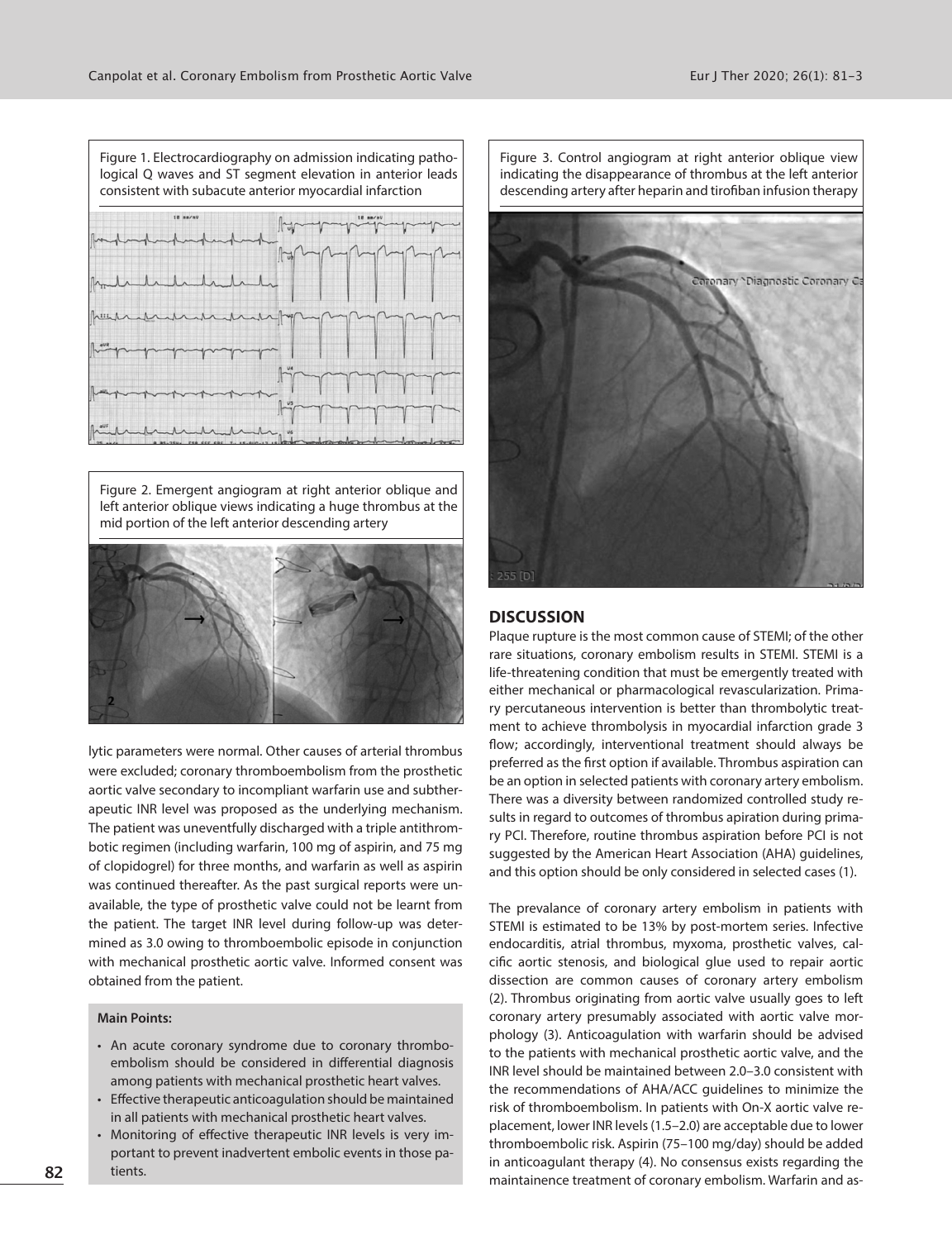

Figure 2. Emergent angiogram at right anterior oblique and left anterior oblique views indicating a huge thrombus at the mid portion of the left anterior descending artery



lytic parameters were normal. Other causes of arterial thrombus were excluded; coronary thromboembolism from the prosthetic aortic valve secondary to incompliant warfarin use and subtherapeutic INR level was proposed as the underlying mechanism. The patient was uneventfully discharged with a triple antithrombotic regimen (including warfarin, 100 mg of aspirin, and 75 mg of clopidogrel) for three months, and warfarin as well as aspirin was continued thereafter. As the past surgical reports were unavailable, the type of prosthetic valve could not be learnt from the patient. The target INR level during follow-up was determined as 3.0 owing to thromboembolic episode in conjunction with mechanical prosthetic aortic valve. Informed consent was obtained from the patient.

### **Main Points:**

- An acute coronary syndrome due to coronary thromboembolism should be considered in differential diagnosis among patients with mechanical prosthetic heart valves.
- Effective therapeutic anticoagulation should be maintained in all patients with mechanical prosthetic heart valves.
- Monitoring of effective therapeutic INR levels is very important to prevent inadvertent embolic events in those patients.



Figure 3. Control angiogram at right anterior oblique view

#### **DISCUSSION**

Plaque rupture is the most common cause of STEMI; of the other rare situations, coronary embolism results in STEMI. STEMI is a life-threatening condition that must be emergently treated with either mechanical or pharmacological revascularization. Primary percutaneous intervention is better than thrombolytic treatment to achieve thrombolysis in myocardial infarction grade 3 flow; accordingly, interventional treatment should always be preferred as the first option if available. Thrombus aspiration can be an option in selected patients with coronary artery embolism. There was a diversity between randomized controlled study results in regard to outcomes of thrombus apiration during primary PCI. Therefore, routine thrombus aspiration before PCI is not suggested by the American Heart Association (AHA) guidelines, and this option should be only considered in selected cases (1).

The prevalance of coronary artery embolism in patients with STEMI is estimated to be 13% by post-mortem series. Infective endocarditis, atrial thrombus, myxoma, prosthetic valves, calcific aortic stenosis, and biological glue used to repair aortic dissection are common causes of coronary artery embolism (2). Thrombus originating from aortic valve usually goes to left coronary artery presumably associated with aortic valve morphology (3). Anticoagulation with warfarin should be advised to the patients with mechanical prosthetic aortic valve, and the INR level should be maintained between 2.0–3.0 consistent with the recommendations of AHA/ACC guidelines to minimize the risk of thromboembolism. In patients with On-X aortic valve replacement, lower INR levels (1.5–2.0) are acceptable due to lower thromboembolic risk. Aspirin (75–100 mg/day) should be added in anticoagulant therapy (4). No consensus exists regarding the maintainence treatment of coronary embolism. Warfarin and as